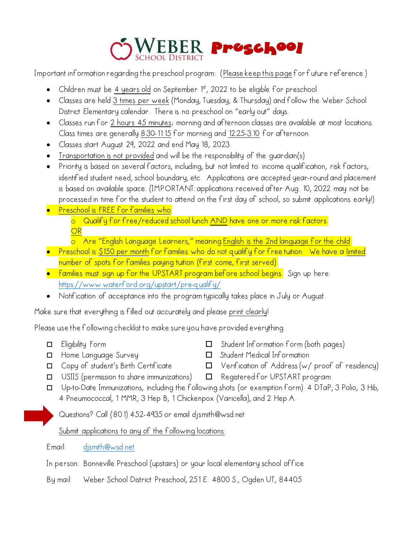

Important information regarding the preschool program: (Please keep this page for future reference.)

- Children must be 4 years old on September 1st, 2022 to be eligible for preschool.
- Classes are held 3 times per week (Monday, Tuesday, & Thursday) and follow the Weber School District Elementary calendar. There is no preschool on "early out" days.
- Classes run for 2 hours 45 minutes; morning and afternoon classes are available at most locations. Class times are generally 8:30-11:15 for morning and 12:25-3:10 for afternoon.
- Classes start August 29, 2022 and end May 18, 2023.
- Transportation is not provided and will be the responsibility of the guardian(s).
- Priority is based on several factors, including, but not limited to: income qualification, risk factors, identified student need, school boundary, etc. Applications are accepted year-round and placement is based on available space. (IMPORTANT: applications received after Aug. 10, 2022 may not be processed in time for the student to attend on the first day of school, so submit applications early!)
- Preschool is FREE for families who:
	- o Qualify for free/reduced school lunch AND have one or more risk factors. **OR**
	- o Are "English Language Learners," meaning English is the 2nd language for the child.
- Preschool is \$150 per month for families who do not qualify for free tuition. We have a limited number of spots for families paying tuition (first come, first served).
- Families must sign up for the UPSTART program before school begins. Sign up here: <https://www.waterford.org/upstart/pre-qualify/>
- Notification of acceptance into the program typically takes place in July or August.

Make sure that everything is filled out accurately and please print clearly!

Please use the following checklist to make sure you have provided everything.

- 
- Eligibility Form Student Information form (both pages)
- $\Box$  Home Language Survey  $\Box$  Student Medical Information
- 
- $\Box$  Copy of student's Birth Certificate  $\Box$  Verification of Address (w/ proof of residency)
- □ USIIS (permission to share immunizations) □ Registered for UPSTART program
- Up-to-Date Immunizations, including the following shots (or exemption form): 4 DTaP, 3 Polio, 3 Hib, 4 Pneumococcal, 1 MMR, 3 Hep B, 1 Chickenpox (Varicella), and 2 Hep A.

Questions? Call (801) 452-4935 or email djsmith@wsd.net

# Submit applications to any of the following locations:

Email: [djsmith@wsd.net](mailto:djsmith@wsd.net)

In person: Bonneville Preschool (upstairs) or your local elementary school office

By mail: Weber School District Preschool, 251 E. 4800 S., Ogden UT, 84405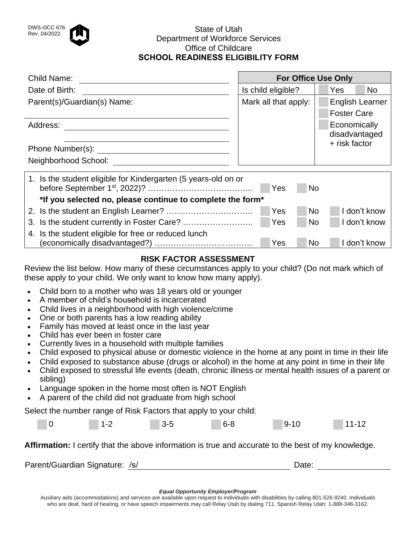

#### State of Utah Department of Workforce Services Office of Childcare **SCHOOL READINESS ELIGIBILITY FORM**

| Child Name:                                                    |                       | <b>For Office Use Only</b> |
|----------------------------------------------------------------|-----------------------|----------------------------|
| Date of Birth:                                                 | Is child eligible?    | <b>No</b><br>Yes           |
| Parent(s)/Guardian(s) Name:                                    | Mark all that apply:  | <b>English Learner</b>     |
|                                                                |                       | <b>Foster Care</b>         |
| Address:                                                       |                       | Economically               |
|                                                                |                       | disadvantaged              |
| Phone Number(s):                                               |                       | + risk factor              |
| Neighborhood School:                                           |                       |                            |
| 1. Is the student eligible for Kindergarten (5 years-old on or |                       |                            |
|                                                                | Yes<br><b>No</b>      |                            |
| *If you selected no, please continue to complete the form*     |                       |                            |
|                                                                | Yes<br><b>No</b>      | I don't know               |
|                                                                | Yes<br>N <sub>o</sub> | I don't know               |
| 4. Is the student eligible for free or reduced lunch           |                       |                            |
|                                                                | Yes<br><b>No</b>      | I don't know               |

### **RISK FACTOR ASSESSMENT**

Review the list below. How many of these circumstances apply to your child? (Do not mark which of these apply to your child. We only want to know how many apply).

- Child born to a mother who was 18 years old or younger
- A member of child's household is incarcerated
- Child lives in a neighborhood with high violence/crime
- One or both parents has a low reading ability
- Family has moved at least once in the last year
- Child has ever been in foster care
- Currently lives in a household with multiple families
- Child exposed to physical abuse or domestic violence in the home at any point in time in their life
- Child exposed to substance abuse (drugs or alcohol) in the home at any point in time in their life
- Child exposed to stressful life events (death, chronic illness or mental health issues of a parent or sibling)
- Language spoken in the home most often is NOT English
- A parent of the child did not graduate from high school

Select the number range of Risk Factors that apply to your child:

| $3-5$<br>$9 - 10$<br>$6 - 8$<br>່ 4 ຕ<br>$\sim$ | $11-12$ |
|-------------------------------------------------|---------|
|-------------------------------------------------|---------|

**Affirmation:** I certify that the above information is true and accurate to the best of my knowledge.

Parent/Guardian Signature: /s/ www.community.com/community/community/community/community/community/community/co

#### *Equal Opportunity Employer/Program*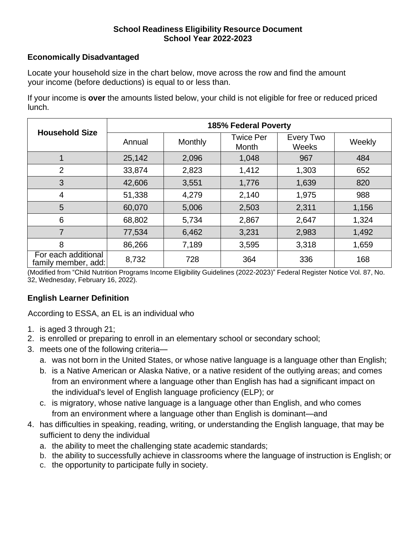#### **School Readiness Eligibility Resource Document School Year 2022-2023**

### **Economically Disadvantaged**

Locate your household size in the chart below, move across the row and find the amount your income (before deductions) is equal to or less than.

If your income is **over** the amounts listed below, your child is not eligible for free or reduced priced lunch.

|                                            |        |         |                           | <b>185% Federal Poverty</b> |        |  |  |  |
|--------------------------------------------|--------|---------|---------------------------|-----------------------------|--------|--|--|--|
| <b>Household Size</b>                      | Annual | Monthly | <b>Twice Per</b><br>Month | Every Two<br><b>Weeks</b>   | Weekly |  |  |  |
|                                            | 25,142 | 2,096   | 1,048                     | 967                         | 484    |  |  |  |
| $\overline{2}$                             | 33,874 | 2,823   | 1,412                     | 1,303                       | 652    |  |  |  |
| 3                                          | 42,606 | 3,551   | 1,776                     | 1,639                       | 820    |  |  |  |
| 4                                          | 51,338 | 4,279   | 2,140                     | 1,975                       | 988    |  |  |  |
| 5                                          | 60,070 | 5,006   | 2,503                     | 2,311                       | 1,156  |  |  |  |
| 6                                          | 68,802 | 5,734   | 2,867                     | 2,647                       | 1,324  |  |  |  |
| $\overline{7}$                             | 77,534 | 6,462   | 3,231                     | 2,983                       | 1,492  |  |  |  |
| 8                                          | 86,266 | 7,189   | 3,595                     | 3,318                       | 1,659  |  |  |  |
| For each additional<br>family member, add: | 8,732  | 728     | 364                       | 336                         | 168    |  |  |  |

(Modified from "Child Nutrition Programs Income Eligibility Guidelines (2022-2023)" Federal Register Notice Vol. 87, No. 32, Wednesday, February 16, 2022).

# **English Learner Definition**

According to ESSA, an EL is an individual who

- 1. is aged 3 through 21;
- 2. is enrolled or preparing to enroll in an elementary school or secondary school;
- 3. meets one of the following criteria
	- a. was not born in the United States, or whose native language is a language other than English;
	- b. is a Native American or Alaska Native, or a native resident of the outlying areas; and comes from an environment where a language other than English has had a significant impact on the individual's level of English language proficiency (ELP); or
	- c. is migratory, whose native language is a language other than English, and who comes from an environment where a language other than English is dominant—and
- 4. has difficulties in speaking, reading, writing, or understanding the English language, that may be sufficient to deny the individual
	- a. the ability to meet the challenging state academic standards;
	- b. the ability to successfully achieve in classrooms where the language of instruction is English; or
	- c. the opportunity to participate fully in society.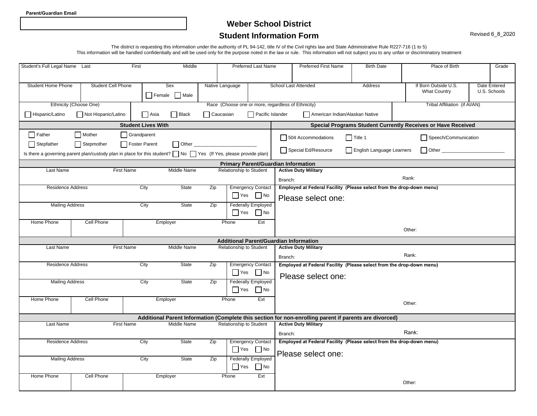# **Weber School District Student Information Form** Revised 6\_8\_2020

|                                |                                                                                                                 |                                          |                    |           |                                |                                                   | <b>Weber School District</b>                                                                                                                                   |                                |                                                                                                                                                                                                 | Revised 6_8_2020             |
|--------------------------------|-----------------------------------------------------------------------------------------------------------------|------------------------------------------|--------------------|-----------|--------------------------------|---------------------------------------------------|----------------------------------------------------------------------------------------------------------------------------------------------------------------|--------------------------------|-------------------------------------------------------------------------------------------------------------------------------------------------------------------------------------------------|------------------------------|
|                                |                                                                                                                 |                                          |                    |           |                                |                                                   | <b>Student Information Form</b>                                                                                                                                |                                |                                                                                                                                                                                                 |                              |
|                                |                                                                                                                 |                                          |                    |           |                                |                                                   | The district is requesting this information under the authority of PL 94-142, title IV of the Civil rights law and State Administrative Rule R227-716 (1 to 5) |                                | This information will be handled confidentially and will be used only for the purpose noted in the law or rule. This information will not subject you to any unfair or discriminatory treatment |                              |
| Student's Full Legal Name Last |                                                                                                                 | First                                    | Middle             |           |                                | Preferred Last Name                               | <b>Preferred First Name</b>                                                                                                                                    | <b>Birth Date</b>              | Place of Birth                                                                                                                                                                                  | Grade                        |
|                                |                                                                                                                 |                                          |                    |           |                                |                                                   |                                                                                                                                                                |                                |                                                                                                                                                                                                 |                              |
| <b>Student Home Phone</b>      | <b>Student Cell Phone</b>                                                                                       |                                          | Sex                |           | Native Language                |                                                   | School Last Attended                                                                                                                                           | Address                        | If Born Outside U.S.                                                                                                                                                                            | Date Entered<br>U.S. Schools |
|                                |                                                                                                                 |                                          | Female Male        |           |                                |                                                   |                                                                                                                                                                |                                | <b>What Country</b>                                                                                                                                                                             |                              |
|                                | Ethnicity (Choose One)                                                                                          |                                          |                    |           |                                |                                                   | Race (Choose one or more, regardless of Ethnicity)                                                                                                             |                                | Tribal Affiliation (if Al/AN)                                                                                                                                                                   |                              |
| Hispanic/Latino                | Not Hispanic/Latino                                                                                             | Asia                                     | Black              | Caucasian |                                | Pacific Islander                                  |                                                                                                                                                                | American Indian/Alaskan Native |                                                                                                                                                                                                 |                              |
| $\Box$ Father                  | $\Box$ Mother                                                                                                   | <b>Student Lives With</b><br>Grandparent |                    |           |                                |                                                   |                                                                                                                                                                |                                | Special Programs Student Currently Receives or Have Received                                                                                                                                    |                              |
| Stepfather                     | Stepmother                                                                                                      | Foster Parent                            |                    |           |                                |                                                   | 504 Accommodations                                                                                                                                             | $\Box$ Title 1                 | Speech/Communication                                                                                                                                                                            |                              |
|                                | Is there a governing parent plan/custody plan in place for this student? No T Yes (If Yes, please provide plan) |                                          |                    |           |                                |                                                   | Special Ed/Resource                                                                                                                                            | English Language Learners      |                                                                                                                                                                                                 |                              |
|                                |                                                                                                                 |                                          |                    |           |                                |                                                   | <b>Primary Parent/Guardian Information</b>                                                                                                                     |                                |                                                                                                                                                                                                 |                              |
| Last Name                      |                                                                                                                 | <b>First Name</b>                        | Middle Name        |           | Relationship to Student        |                                                   | <b>Active Duty Military</b><br>Branch:                                                                                                                         |                                | Rank:                                                                                                                                                                                           |                              |
| <b>Residence Address</b>       |                                                                                                                 | City                                     | State              | Zip       |                                | <b>Emergency Contact</b>                          | Employed at Federal Facility (Please select from the drop-down menu)                                                                                           |                                |                                                                                                                                                                                                 |                              |
|                                |                                                                                                                 |                                          |                    |           | $\Box$ Yes                     | $\Box$ No                                         | Please select one:                                                                                                                                             |                                |                                                                                                                                                                                                 |                              |
| <b>Mailing Address</b>         |                                                                                                                 | City                                     | State              | Zip       | Yes                            | <b>Federally Employed</b><br>$\Box$ No            |                                                                                                                                                                |                                |                                                                                                                                                                                                 |                              |
| Home Phone                     | Cell Phone                                                                                                      |                                          | Employer           |           | Phone                          | Ext                                               |                                                                                                                                                                |                                |                                                                                                                                                                                                 |                              |
|                                |                                                                                                                 |                                          |                    |           |                                |                                                   |                                                                                                                                                                |                                | Other:                                                                                                                                                                                          |                              |
| Last Name                      |                                                                                                                 | <b>First Name</b>                        | Middle Name        |           | Relationship to Student        |                                                   | Additional Parent/Guardian Information<br><b>Active Duty Military</b>                                                                                          |                                |                                                                                                                                                                                                 |                              |
|                                |                                                                                                                 |                                          |                    |           |                                |                                                   | Branch:                                                                                                                                                        |                                | Rank:                                                                                                                                                                                           |                              |
| <b>Residence Address</b>       |                                                                                                                 | City                                     | State              | Zip       |                                | <b>Emergency Contact</b>                          | Employed at Federal Facility (Please select from the drop-down menu)                                                                                           |                                |                                                                                                                                                                                                 |                              |
| <b>Mailing Address</b>         |                                                                                                                 | City                                     | State              | Zip       |                                | $\Box$ Yes $\Box$ No<br><b>Federally Employed</b> | Please select one:                                                                                                                                             |                                |                                                                                                                                                                                                 |                              |
|                                |                                                                                                                 |                                          |                    |           |                                | $\Box$ Yes $\Box$ No                              |                                                                                                                                                                |                                |                                                                                                                                                                                                 |                              |
| Home Phone                     | Cell Phone                                                                                                      |                                          | Employer           |           | Phone                          | Ext                                               |                                                                                                                                                                |                                | Other:                                                                                                                                                                                          |                              |
|                                |                                                                                                                 |                                          |                    |           |                                |                                                   |                                                                                                                                                                |                                |                                                                                                                                                                                                 |                              |
| Last Name                      |                                                                                                                 | <b>First Name</b>                        | <b>Middle Name</b> |           | <b>Relationship to Student</b> |                                                   | Additional Parent Information (Complete this section for non-enrolling parent if parents are divorced)<br><b>Active Duty Military</b>                          |                                |                                                                                                                                                                                                 |                              |
|                                |                                                                                                                 |                                          |                    |           |                                |                                                   | Branch:                                                                                                                                                        |                                | Rank:                                                                                                                                                                                           |                              |
| <b>Residence Address</b>       |                                                                                                                 | City                                     | State              | Zip       |                                | <b>Emergency Contact</b>                          | Employed at Federal Facility (Please select from the drop-down menu)                                                                                           |                                |                                                                                                                                                                                                 |                              |
|                                |                                                                                                                 | City                                     | State              | Zip       |                                | $\Box$ Yes $\Box$ No<br><b>Federally Employed</b> | Please select one:                                                                                                                                             |                                |                                                                                                                                                                                                 |                              |
|                                |                                                                                                                 |                                          |                    |           |                                | $\Box$ Yes $\Box$ No                              |                                                                                                                                                                |                                |                                                                                                                                                                                                 |                              |
| <b>Mailing Address</b>         |                                                                                                                 |                                          |                    |           |                                |                                                   |                                                                                                                                                                |                                |                                                                                                                                                                                                 |                              |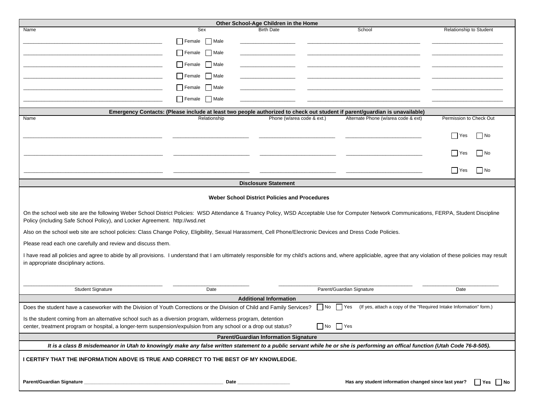|                                                                                                                                                                                                                                                                            |                           | Other School-Age Children in the Home                                                                                                                    |                                     |                                                                           |
|----------------------------------------------------------------------------------------------------------------------------------------------------------------------------------------------------------------------------------------------------------------------------|---------------------------|----------------------------------------------------------------------------------------------------------------------------------------------------------|-------------------------------------|---------------------------------------------------------------------------|
| Name                                                                                                                                                                                                                                                                       | Sex                       | <b>Birth Date</b>                                                                                                                                        | School                              | Relationship to Student                                                   |
|                                                                                                                                                                                                                                                                            | $\Box$ Female $\Box$ Male |                                                                                                                                                          |                                     |                                                                           |
|                                                                                                                                                                                                                                                                            | $\Box$ Female $\Box$ Male |                                                                                                                                                          |                                     |                                                                           |
|                                                                                                                                                                                                                                                                            | Female Male               |                                                                                                                                                          |                                     |                                                                           |
|                                                                                                                                                                                                                                                                            | $\Box$ Female $\Box$ Male |                                                                                                                                                          |                                     |                                                                           |
|                                                                                                                                                                                                                                                                            | Female Male               |                                                                                                                                                          |                                     |                                                                           |
|                                                                                                                                                                                                                                                                            | $\Box$ Female $\Box$ Male |                                                                                                                                                          |                                     |                                                                           |
| Name                                                                                                                                                                                                                                                                       | Relationship              | Emergency Contacts: (Please include at least two people authorized to check out student if parent/guardian is unavailable)<br>Phone (w/area code & ext.) | Alternate Phone (w/area code & ext) | Permission to Check Out                                                   |
|                                                                                                                                                                                                                                                                            |                           |                                                                                                                                                          |                                     | $\Box$ No<br>  Yes                                                        |
|                                                                                                                                                                                                                                                                            |                           |                                                                                                                                                          |                                     | $\Box$ No<br>  Yes                                                        |
|                                                                                                                                                                                                                                                                            |                           |                                                                                                                                                          |                                     |                                                                           |
|                                                                                                                                                                                                                                                                            |                           |                                                                                                                                                          |                                     | $\Box$ No<br>$\Box$ Yes                                                   |
|                                                                                                                                                                                                                                                                            |                           | <b>Disclosure Statement</b>                                                                                                                              |                                     |                                                                           |
|                                                                                                                                                                                                                                                                            |                           | <b>Weber School District Policies and Procedures</b>                                                                                                     |                                     |                                                                           |
| On the school web site are the following Weber School District Policies: WSD Attendance & Truancy Policy, WSD Acceptable Use for Computer Network Communications, FERPA, Student Discipline<br>Policy (including Safe School Policy), and Locker Agreement. http://wsd.net |                           |                                                                                                                                                          |                                     |                                                                           |
| Also on the school web site are school policies: Class Change Policy, Eligibility, Sexual Harassment, Cell Phone/Electronic Devices and Dress Code Policies.                                                                                                               |                           |                                                                                                                                                          |                                     |                                                                           |
| Please read each one carefully and review and discuss them.                                                                                                                                                                                                                |                           |                                                                                                                                                          |                                     |                                                                           |
| I have read all policies and agree to abide by all provisions. I understand that I am ultimately responsible for my child's actions and, where appliciable, agree that any violation of these policies may result<br>in appropriate disciplinary actions.                  |                           |                                                                                                                                                          |                                     |                                                                           |
| <b>Student Signature</b>                                                                                                                                                                                                                                                   | Date                      | Parent/Guardian Signature                                                                                                                                |                                     | Date                                                                      |
|                                                                                                                                                                                                                                                                            |                           | <b>Additional Information</b>                                                                                                                            |                                     |                                                                           |
| Does the student have a caseworker with the Division of Youth Corrections or the Division of Child and Family Services?                                                                                                                                                    |                           |                                                                                                                                                          |                                     | No Yes (If yes, attach a copy of the "Required Intake Information" form.) |
| Is the student coming from an alternative school such as a diversion program, wilderness program, detention<br>center, treatment program or hospital, a longer-term suspension/expulsion from any school or a drop out status?                                             |                           | $\Box$ No $\Box$ Yes                                                                                                                                     |                                     |                                                                           |
| It is a class B misdemeanor in Utah to knowingly make any false written statement to a public servant while he or she is performing an offical function (Utah Code 76-8-505).                                                                                              |                           | <b>Parent/Guardian Information Signature</b>                                                                                                             |                                     |                                                                           |
| I CERTIFY THAT THE INFORMATION ABOVE IS TRUE AND CORRECT TO THE BEST OF MY KNOWLEDGE.                                                                                                                                                                                      |                           |                                                                                                                                                          |                                     |                                                                           |
|                                                                                                                                                                                                                                                                            |                           |                                                                                                                                                          |                                     |                                                                           |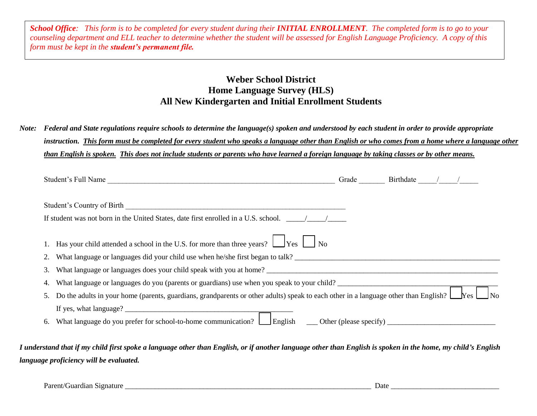*School Office: This form is to be completed for every student during their INITIAL ENROLLMENT. The completed form is to go to your counseling department and ELL teacher to determine whether the student will be assessed for English Language Proficiency. A copy of this form must be kept in the student's permanent file.*

# **Weber School District Home Language Survey (HLS) All New Kindergarten and Initial Enrollment Students**

*Note: Federal and State regulations require schools to determine the language(s) spoken and understood by each student in order to provide appropriate*  instruction. This form must be completed for every student who speaks a language other than English or who comes from a home where a language other *than English is spoken. This does not include students or parents who have learned a foreign language by taking classes or by other means.*

| Student's Full Name                                                                                                                                                                                                                                                                                                                                                                                                                                                                                                                                                                                                                                                        | Grade | Birthdate |  |
|----------------------------------------------------------------------------------------------------------------------------------------------------------------------------------------------------------------------------------------------------------------------------------------------------------------------------------------------------------------------------------------------------------------------------------------------------------------------------------------------------------------------------------------------------------------------------------------------------------------------------------------------------------------------------|-------|-----------|--|
| Student's Country of Birth<br>If student was not born in the United States, date first enrolled in a U.S. school.                                                                                                                                                                                                                                                                                                                                                                                                                                                                                                                                                          |       |           |  |
| 1. Has your child attended a school in the U.S. for more than three years? $\Box$ Yes $\Box$ No<br>What language or languages did your child use when he/she first began to talk?<br>2.<br>What language or languages does your child speak with you at home?<br>3.<br>What language or languages do you (parents or guardians) use when you speak to your child?<br>4.<br>5. Do the adults in your home (parents, guardians, grandparents or other adults) speak to each other in a language other than English? Speak L No<br>If yes, what language?<br>What language do you prefer for school-to-home communication? $\Box$ English $\Box$ Other (please specify)<br>6. |       |           |  |

*I understand that if my child first spoke a language other than English, or if another language other than English is spoken in the home, my child's English language proficiency will be evaluated.* 

Parent/Guardian Signature the contract of the contract of the contract of the contract of the contract of the contract of the contract of the contract of the contract of the contract of the contract of the contract of the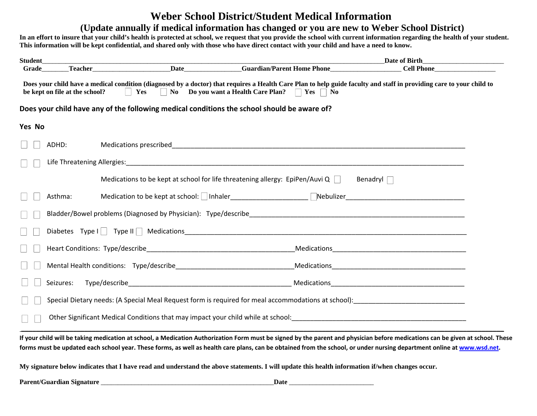# **Weber School District/Student Medical Information**

# **(Update annually if medical information has changed or you are new to Weber School District)**

**In an effort to insure that your child's health is protected at school, we request that you provide the school with current information regarding the health of your student. This information will be kept confidential, and shared only with those who have direct contact with your child and have a need to know.** 

| Student_ |                                |                                                                                             |                                                                                                                                                                                                                                                   | Date of Birth<br><u> 1986 - Johann Stoff, Amerikaansk konst</u> |
|----------|--------------------------------|---------------------------------------------------------------------------------------------|---------------------------------------------------------------------------------------------------------------------------------------------------------------------------------------------------------------------------------------------------|-----------------------------------------------------------------|
|          | Grade                          |                                                                                             | Teacher Date Date Guardian/Parent Home Phone                                                                                                                                                                                                      | <b>Cell Phone</b>                                               |
|          | be kept on file at the school? | Does your child have any of the following medical conditions the school should be aware of? | Does your child have a medical condition (diagnosed by a doctor) that requires a Health Care Plan to help guide faculty and staff in providing care to your child to<br>$\Box$ Yes $\Box$ No Do you want a Health Care Plan? $\Box$ Yes $\Box$ No |                                                                 |
| Yes No   |                                |                                                                                             |                                                                                                                                                                                                                                                   |                                                                 |
|          | ADHD:                          |                                                                                             |                                                                                                                                                                                                                                                   |                                                                 |
|          |                                |                                                                                             |                                                                                                                                                                                                                                                   |                                                                 |
|          |                                |                                                                                             | Medications to be kept at school for life threatening allergy: EpiPen/Auvi Q $\vert \vert$                                                                                                                                                        | Benadryl                                                        |
|          | Asthma:                        |                                                                                             |                                                                                                                                                                                                                                                   |                                                                 |
|          |                                |                                                                                             |                                                                                                                                                                                                                                                   |                                                                 |
|          |                                |                                                                                             |                                                                                                                                                                                                                                                   |                                                                 |
|          |                                |                                                                                             |                                                                                                                                                                                                                                                   |                                                                 |
|          |                                |                                                                                             |                                                                                                                                                                                                                                                   |                                                                 |
|          | Seizures:                      |                                                                                             |                                                                                                                                                                                                                                                   |                                                                 |
|          |                                |                                                                                             | Special Dietary needs: (A Special Meal Request form is required for meal accommodations at school): ___________________________________                                                                                                           |                                                                 |
|          |                                |                                                                                             |                                                                                                                                                                                                                                                   |                                                                 |

If your child will be taking medication at school, a Medication Authorization Form must be signed by the parent and physician before medications can be given at school. These forms must be updated each school year. These forms, as well as health care plans, can be obtained from the school, or under nursing department online at www.wsd.net.

**My signature below indicates that I have read and understand the above statements. I will update this health information if/when changes occur.** 

**Parent/Guardian Signature** \_\_\_\_\_\_\_\_\_\_\_\_\_\_\_\_\_\_\_\_\_\_\_\_\_\_\_\_\_\_\_\_\_\_\_\_\_\_\_\_\_\_\_\_\_\_\_\_\_\_\_**Date** \_\_\_\_\_\_\_\_\_\_\_\_\_\_\_\_\_\_\_\_\_\_\_\_\_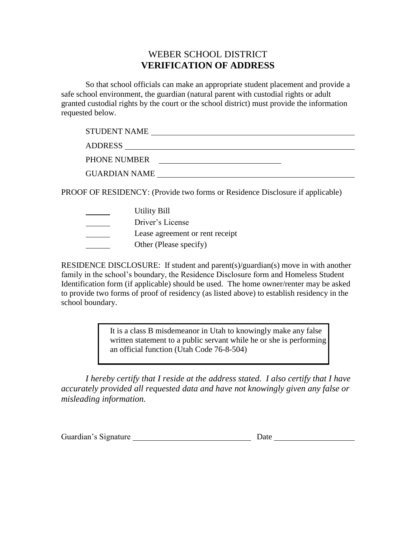# WEBER SCHOOL DISTRICT **VERIFICATION OF ADDRESS**

So that school officials can make an appropriate student placement and provide a safe school environment, the guardian (natural parent with custodial rights or adult granted custodial rights by the court or the school district) must provide the information requested below.

| STUDENT NAME         |  |
|----------------------|--|
| <b>ADDRESS</b>       |  |
| <b>PHONE NUMBER</b>  |  |
| <b>GUARDIAN NAME</b> |  |

PROOF OF RESIDENCY: (Provide two forms or Residence Disclosure if applicable)

| Lease agreement or rent receipt |
|---------------------------------|
|                                 |
|                                 |

RESIDENCE DISCLOSURE: If student and parent(s)/guardian(s) move in with another family in the school's boundary, the Residence Disclosure form and Homeless Student Identification form (if applicable) should be used. The home owner/renter may be asked to provide two forms of proof of residency (as listed above) to establish residency in the school boundary.

> It is a class B misdemeanor in Utah to knowingly make any false written statement to a public servant while he or she is performing an official function (Utah Code 76-8-504)

*I hereby certify that I reside at the address stated. I also certify that I have accurately provided all requested data and have not knowingly given any false or misleading information.*

Guardian's Signature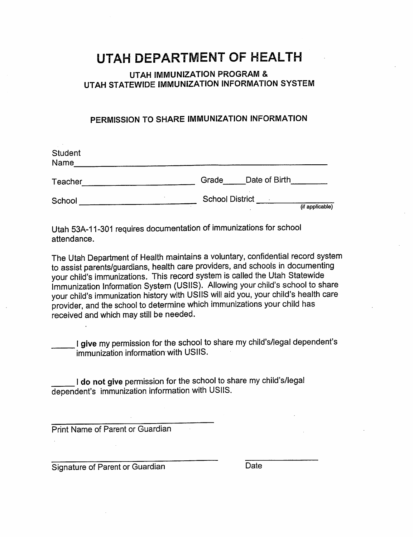# UTAH DEPARTMENT OF HEALTH

# UTAH IMMUNIZATION PROGRAM & **UTAH STATEWIDE IMMUNIZATION INFORMATION SYSTEM**

# PERMISSION TO SHARE IMMUNIZATION INFORMATION

| <b>Student</b><br>Name |                                           |
|------------------------|-------------------------------------------|
| Teacher                | Date of Birth<br>Grade                    |
| School                 | <b>School District</b><br>(if annlicable) |

Utah 53A-11-301 requires documentation of immunizations for school attendance.

The Utah Department of Health maintains a voluntary, confidential record system to assist parents/guardians, health care providers, and schools in documenting your child's immunizations. This record system is called the Utah Statewide Immunization Information System (USIIS). Allowing your child's school to share your child's immunization history with USIIS will aid you, your child's health care provider, and the school to determine which immunizations your child has received and which may still be needed.

I give my permission for the school to share my child's/legal dependent's immunization information with USIIS.

I do not give permission for the school to share my child's/legal dependent's immunization information with USIIS.

Print Name of Parent or Guardian

Signature of Parent or Guardian

**Date**